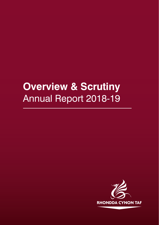# **Overview & Scrutiny**  Annual Report 2018-19

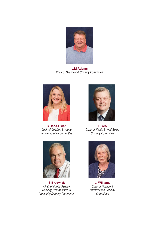

**L.M.Adams** *Chair of Overview & Scrutiny Committee*



**S.Rees-Owen** *Chair of Children & Young People Scrutiny Committee*



**S.Bradwick** *Chair of Public Service Delivery, Communities & Prosperity Scrutiny Committee*



**R.Yeo** *Chair of Health & Well-Being Scrutiny Committee*



**J. Williams** *Chair of Finance & Performance Scrutiny Committee*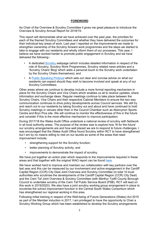### **FOREWORD**

As Chair of the Overview & Scrutiny Committee it gives me great pleasure to introduce the Overview & Scrutiny Annual Report for 2018/19.

This report will demonstrate what we have achieved over the past year, the priorities for each of the themed Scrutiny Committees and whether they have delivered the outcomes for their individual key areas of work. Last year I reported on the improvements we made to strengthen ownership of the Scrutiny forward work programmes and the steps we started to take to engage with our residents and wholly inform them of our processes. This year, I believe we have worked harder to promote public engagement in Scrutiny and we have delivered the following:-

- A dedicated Scrutiny webpage (which includes detailed information in respect of the role of Scrutiny, Scrutiny Work Programmes, Scrutiny related news articles and a 'Scrutiny Chairs' Blog' which adds a personal touch to the Scrutiny work undertaken by the Scrutiny Chairs themselves); and
- A Public Speaking Protocol which sets out clear and concise advice on what our residents can expect should they wish to become involved and speak at any of our Scrutiny Committees;

Other areas where we continue to develop include a more formal reporting mechanism in place for the Scrutiny Chairs and Vice Chairs which enables us all to receive updates, share information and exchange ideas. Regular meetings continue to take place between the Scrutiny Chairs, Vice Chairs and their respective Cabinet Members to ensure the two way communication continues to drive policy developments across Council services. We still try and reach out to our residents by taking Scrutiny out and about and have continued to hold Scrutiny meetings in venues other than in the Council Chamber such as Abercynon Sports Centre and Bryn Pica site. We will continue to monitor the effectiveness of this in the future and consider if this is the most effective mechanism to improve participation.

During 2017/18 the Wales Audit Office undertook a national review of scrutiny with fieldwork in all local authority areas. The purpose of the review was to explore how 'fit for the future' our scrutiny arrangements are and how well placed we are to respond to future challenges. I was encouraged that the Wales Audit Office found Scrutiny within RCT to have strengthened but I am by no means willing to rest on our laurels as some of the areas that need improvement include;

- strengthening support for the Scrutiny function;
- better planning of Scrutiny activity; and
- improvements to demonstrate the impact of scrutiny.

We have put together an action plan which responds to the improvements required in these areas and that together with the original WAO report can be found here.

We have worked hard to improve and maintain our collaboration with key partners over the last year and this can be measured by our involvement and active engagement in the Cardiff Capital Region (CCR) City Deal Joint Overview and Scrutiny Committee (in total 10 local authorities who scrutinise the developments of the Cardiff Capital Region (CCR) City Deal) and the Cwm Taf Joint Overview & Scrutiny Committee (with Merthyr Tydfil County Borough Council to undertake scrutiny of the Cwm Taf Public Service Board (PSB). RCT will lead on this work in 2019/2020). We also have a joint scrutiny working group arrangement in place to scrutinise the school improvement function in the Central South Wales Consortium which has strengthened our regional working in this area.

Following initial training in respect of the Well-being of Future Generations (Wales) Act 2015 as part of the Member induction in 2017, I am privileged to have the opportunity to Chair a Scrutiny Working Group which has been established to develop the Scrutiny arrangements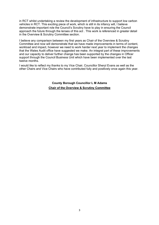in RCT whilst undertaking a review the development of infrastructure to support low carbon vehicles in RCT. This exciting piece of work, which is still in its infancy will, I believe demonstrate important role the Council's Scrutiny have to play in ensuring the Council approach the future through the lenses of this act . This work is referenced in greater detail in the Overview & Scrutiny Committee section.

I believe any comparison between my first years as Chair of the Overview & Scrutiny Committee and now will demonstrate that we have made improvements in terms of content, workload and impact, however we need to work harder next year to implement the changes that the Wales Audit office have suggested we make. An integral part of these improvements and our capacity to deliver further change has been supported by the changes in Officer support through the Council Business Unit which have been implemented over the last twelve months.

I would like to reflect my thanks to my Vice Chair, Councillor Sheryl Evans as well as the other Chairs and Vice Chairs who have contributed fully and positively once again this year.

> **County Borough Councillor L M Adams Chair of the Overview & Scrutiny Committee**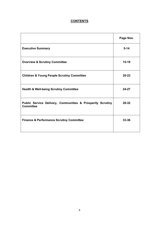# **CONTENTS**

|                                                                                | Page Nos. |
|--------------------------------------------------------------------------------|-----------|
| <b>Executive Summary</b>                                                       | $5 - 14$  |
| <b>Overview &amp; Scrutiny Committee</b>                                       | $15-19$   |
| <b>Children &amp; Young People Scrutiny Committee</b>                          | $20 - 23$ |
| <b>Health &amp; Well-being Scrutiny Committee</b>                              | 24-27     |
| Public Service Delivery, Communities & Prosperity Scrutiny<br><b>Committee</b> | 28-32     |
| <b>Finance &amp; Performance Scrutiny Committee</b>                            | 33-36     |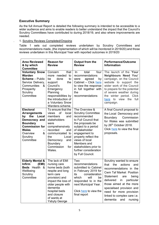# **Executive Summary**

As the full Annual Report is detailed the following summary is intended to be accessible to a wider audience and aims to enable readers to better understand the impact that the Council's Scrutiny Committees have contributed to during 2018/19, and also where improvements are needed.

. 1. Scrutiny Reviews Completed/Ongoing

Table 1 sets out completed reviews undertaken by Scrutiny Committees and recommendations made, (the implementation of which will be monitored in 2019/20) and those reviews undertaken in this Municipal Year with reported outcomes in 2019/20

| <b>Area Reviewed</b><br>& by which<br><b>Committee</b>                                                                                                                               | <b>Reason for</b><br><b>Review</b>                                                                                                                                                                                                  | Output from the<br><b>Review</b>                                                                                                                                                                                                                                                                | <b>Performance/Outcome</b><br><b>Information</b>                                                                                                                                                                                                                                                                                     |
|--------------------------------------------------------------------------------------------------------------------------------------------------------------------------------------|-------------------------------------------------------------------------------------------------------------------------------------------------------------------------------------------------------------------------------------|-------------------------------------------------------------------------------------------------------------------------------------------------------------------------------------------------------------------------------------------------------------------------------------------------|--------------------------------------------------------------------------------------------------------------------------------------------------------------------------------------------------------------------------------------------------------------------------------------------------------------------------------------|
| <b>Voluntary Snow</b><br>Warden<br><b>Scheme</b> - Public<br>Service Delivery,<br>Communities<br>&<br>Prosperity<br>Scrutiny<br>Committee                                            | that<br>Concern<br>more needed<br>to<br>be<br>done<br>to<br>the<br>support<br>Council's<br>Emergency<br>Planning<br>responsibilities by<br>the introduction of<br>a Voluntary Snow<br>Wardens scheme.                               | total<br>four<br><b>In</b><br>recommendations<br>agreed<br>by<br>were<br>Cabinet - Click here<br>to view the response<br>in full together with<br>the<br>recommendations                                                                                                                        | The launch of the 'Your<br>Neighbours Need You'<br>campaign, on the Council<br>website to support the<br>wider work of the Council<br>to prepare for the potential<br>of severe weather during<br>the winter period. Click<br>here to view the full<br>campaign.                                                                     |
| <b>Electoral</b><br><b>Arrangements</b><br>the<br>Local<br>by<br>Democracy and<br><b>Boundary</b><br><b>Commission for</b><br><b>Wales</b><br>&<br>Overview<br>Scrutiny<br>Committee | To ensure that the<br>of<br>local<br>views<br>members<br>and<br>stakeholders<br>were<br>comprehensively<br>recorded<br>and<br>communicated to<br>Local<br>the<br>Democracy<br>and<br><b>Boundary</b><br>Commission<br>for<br>Wales. | The Overview &<br><b>Scrutiny Committee</b><br>recommended<br>to Full Council that<br>the proposals be<br>subject to a period<br>of stakeholder<br>engagement to<br>properly reflect the<br>views of local<br>Members and<br>stakeholders prior to<br>further consideration<br>by Full Council. | A final Council proposal to<br>the Local Democracy and<br>Commission<br>Boundary<br>for Wales was submitted<br>by 26 <sup>th</sup> October 2018.<br>Click here to view the final<br>proposals.                                                                                                                                       |
| <b>Elderly Mental &amp;</b><br><b>Infirm</b><br>(EMI)<br><b>Beds</b> Health<br>-&<br>Wellbeing<br>Scrutiny<br>Committee                                                              | The lack of EMI<br>nursing care<br>home beds (both<br>respite and long<br>term care<br>provision) and<br>impact the loss of<br>older people with<br>dementia<br>hospital beds<br>and closure<br>of wards at<br><b>Ysbyty George</b> | Two<br>recommendations<br>submitted to Cabinet<br>in February 2019 for<br>consideration<br>its<br>which<br>will<br>be<br>responded to in the<br>next Municipal Year.<br>Click here to view the<br>final report                                                                                  | Scrutiny wanted to ensure<br>actions<br>that<br>the<br>and<br>recommendations in the<br><b>Cwm Taf Market Position</b><br>Statement<br>being<br>are<br>delivered<br>in<br>particular<br>those aimed at the more<br>specialised provision and<br>need for more provision<br>linked to complex care i.e.<br>dementia<br>and<br>nursing |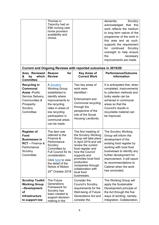|                                                                                                                                              | Thomas in<br>Treorchy had on<br>EMI nursing care<br>home provision<br>availability and<br>choice.                                                                                                                            |                                                                                                                                                                                                                                                                                            | dementia.<br>Scrutiny<br>acknowledged that<br>this<br>work reflects the medium<br>to long term nature of the<br>programme of the work in<br>this area and as such,<br>supports the requirement<br>continued<br>for<br>Scrutiny<br>oversight to help ensure<br>the<br>necessary<br>improvements are made. |
|----------------------------------------------------------------------------------------------------------------------------------------------|------------------------------------------------------------------------------------------------------------------------------------------------------------------------------------------------------------------------------|--------------------------------------------------------------------------------------------------------------------------------------------------------------------------------------------------------------------------------------------------------------------------------------------|----------------------------------------------------------------------------------------------------------------------------------------------------------------------------------------------------------------------------------------------------------------------------------------------------------|
| Area Reviewed<br>which<br>by<br>&<br><b>Committee</b>                                                                                        | for<br><b>Reason</b><br><b>Review</b>                                                                                                                                                                                        | <b>Current and Ongoing Reviews with reported outcomes in 2019/20</b><br><b>Key Areas of</b><br><b>Current Work</b>                                                                                                                                                                         | <b>Performance/Outcome</b><br><b>Information</b>                                                                                                                                                                                                                                                         |
| <b>Recycling in</b><br><b>Communal</b><br><b>Areas - Public</b><br>Service Delivery,<br>Communities &<br>Prosperity<br>Scrutiny<br>Committee | A Scrutiny<br><b>Working Group</b><br>established to<br>identify where<br>improvements to<br>the recycling<br>rates in areas of<br>low recycling<br>participation in<br>communal areas<br>can be made.                       | Two key areas of<br>work were<br>identified:-<br>Enforcement and<br>Communal recycling<br>through the<br>perspective of the<br>role of the Social<br>Housing Landlords.                                                                                                                    | It is anticipated that, when<br>completed, improvements<br>to collection methods and<br>bulky waste can be<br>achieved in communal<br>areas so that the<br>Council's results in<br>recyclable material can<br>be improved.                                                                               |
| <b>Register of</b><br>Food<br><b>Businesses in</b><br><b>RCT</b> – Finance &<br>Performance<br>Scrutiny<br>Committee                         | The item was<br>referred to the<br>Finance &<br>Performance<br>Scrutiny<br>Committee by<br><b>Full Council for its</b><br>consideration.<br>Click here to view<br>the detail of the<br>Notice of Motion<br>24th October 2018 | The first meeting of<br>the Scrutiny Working<br>Group will take place<br>in April 2019 and will<br>review the current<br>food register and<br>how the Council<br>supports and<br>promotes local food<br>production<br>companies through<br>collaboration with<br>local food<br>businesses. | <b>The Scrutiny Working</b><br>Group will inform the<br>development of the<br>existing food register by<br>working with local food<br>businesses to identify any<br>further development for<br>improvement. It will report<br>its recommendations to<br>Cabinet when the work<br>has concluded.          |
| <b>Scrutiny Toolkit</b><br><b>Working Group</b><br>-Development<br>of<br><b>Infrastructure</b><br>to support low                             | The Future<br>Generations<br>Framework for<br>Scrutiny has<br>been created to<br>support decision-<br>making in the                                                                                                          | Consider the<br><b>Council's Scrutiny</b><br>requirements for the<br>Well-being of Future<br><b>Generations Act and</b><br>consider the                                                                                                                                                    | The Working Group will<br>apply the Sustainable<br>Development principle of<br>the Act through the five<br>ways of working, namely,<br>Integration, Collaboration,                                                                                                                                       |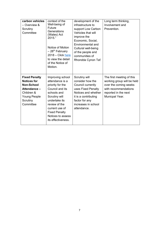| carbon vehicles<br>- Overview &<br>Scrutiny<br>Committee                                                                              | context of the<br>Well-being of<br>Future<br>Generations<br>(Wales) Act<br>2015."<br>Notice of Motion<br>- 28 <sup>th</sup> February<br>$2018 -$ Click here<br>to view the detail<br>of the Notice of<br>Motion.                  | development of the<br>infrastructure to<br>support Low Carbon<br>Vehicles that will<br>improve the<br>Economic, Social,<br>Environmental and<br>Cultural well-being<br>of the people and<br>communities of<br>Rhondda Cynon Taf. | Long term thinking,<br>Involvement and<br>Prevention.                                                                                              |
|---------------------------------------------------------------------------------------------------------------------------------------|-----------------------------------------------------------------------------------------------------------------------------------------------------------------------------------------------------------------------------------|----------------------------------------------------------------------------------------------------------------------------------------------------------------------------------------------------------------------------------|----------------------------------------------------------------------------------------------------------------------------------------------------|
| <b>Fixed Penalty</b><br><b>Notices for</b><br><b>Non-School</b><br>Attendance-<br>Children &<br>Young People<br>Scrutiny<br>Committee | Improving school<br>attendance is a<br>priority for the<br>Council and its<br>schools and<br>Scrutiny will<br>undertake its<br>review of the<br>current use of<br><b>Fixed Penalty</b><br>Notices to assess<br>its effectiveness. | Scrutiny will<br>consider how the<br>Council currently<br>uses Fixed Penalty<br>Notices and whether<br>it is a contributing<br>factor for any<br>increases in school<br>attendance.                                              | The first meeting of this<br>working group will be held<br>over the coming weeks<br>with recommendations<br>reported in the next<br>Municpal Year. |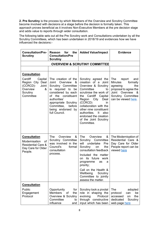**2. Pre Scrutiny** is the process by which Members of the Overview and Scrutiny Committee become involved with decisions at a stage before the decision is formally taken. This approach proves beneficial as it involves Non-Executive Members at the pre decision stage and adds value to reports through wider consultation.

The following table sets out all the Pre Scrutiny work and Consultations undertaken by all the Scrutiny Committees, which has been undertaken in 2018/19 and evidences how we have influenced the decisions:-

| <b>Consultation/Pre-</b><br><b>Scrutiny</b>                                                                                  | Reason for<br>the<br><b>Consultation/Pre</b><br><b>Scrutiny</b>                                                                                                                                                                            | <b>Added Value/Impact</b>                                                                                                                                                                                                                                                                                                       | <b>Evidence</b>                                                                                                                                                 |
|------------------------------------------------------------------------------------------------------------------------------|--------------------------------------------------------------------------------------------------------------------------------------------------------------------------------------------------------------------------------------------|---------------------------------------------------------------------------------------------------------------------------------------------------------------------------------------------------------------------------------------------------------------------------------------------------------------------------------|-----------------------------------------------------------------------------------------------------------------------------------------------------------------|
|                                                                                                                              |                                                                                                                                                                                                                                            | <b>OVERVIEW &amp; SCRUTINY COMMITTEE</b>                                                                                                                                                                                                                                                                                        |                                                                                                                                                                 |
|                                                                                                                              |                                                                                                                                                                                                                                            |                                                                                                                                                                                                                                                                                                                                 |                                                                                                                                                                 |
| <b>Consultation</b><br>Cardiff<br>Capital<br>Region City Deal<br>(CCRCD)-<br>Joint<br>Overview<br>&<br>Scrutiny<br>Committee | The creation of the<br>&<br>Joint Overview<br>Scrutiny Committee<br>is required to be<br>considered by each<br>the constituent<br>of<br>authorities'<br>appropriate Scrutiny<br>Committee,<br>before<br>being endorsed by<br>full Council. | Scrutiny agreed the<br>creation of a Joint<br>Overview & Scrutiny<br>Committee<br>to<br>scrutinise the work of<br>the Cardiff Capital<br>City<br>Region<br>Deal<br>(CCRCD)<br>in<br>collaboration with the<br>other nine constituent<br>authorities. It<br>also<br>endorsed the creation<br>of the Joint Scrutiny<br>Committee. | The<br>and<br>report<br><b>Minutes</b><br>formally<br>agreeing<br>the<br>proposal to agree the<br>Joint Overview &<br>Scrutiny Committee<br>can be viewed here. |
| <b>Consultation</b><br>Modernisation<br><b>of</b><br><b>Residential Care &amp;</b><br>Day Care for Older<br>People.          | The<br>Overview<br>&<br>Scrutiny Committee<br>was involved in the<br>Council's<br>formal<br>consultation<br>process.                                                                                                                       | The<br>Overview<br>&<br>Scrutiny Committee<br>will<br>undertake<br>Pre<br>Scrutiny on<br>the<br>consultation feedback<br>Included the matter<br>on its future work<br>programme<br>as<br>a<br>priority;<br>Call on the Health &<br>Wellbeing<br>Scrutiny<br>Committee to jointly<br>assess the matter.                          | The Modernisation of<br>Residential Care &<br>Day Care for Older<br>People report can be<br>viewed here                                                         |
| <b>Consultation</b><br>Public<br>Engagement<br>Protocol                                                                      | Opportunity<br>for<br><b>Members</b><br>of<br>the<br>Overview & Scrutiny<br>Committee<br>to<br>influence<br>and                                                                                                                            | Scrutiny took a pivotal<br>role in shaping the<br>evolving<br>Protocol<br>through constructive<br>input which has been                                                                                                                                                                                                          | The<br>adopted<br>protocol<br>be<br>can<br>the<br>accessed<br>on<br>dedicated<br>Scrutiny<br>web page here                                                      |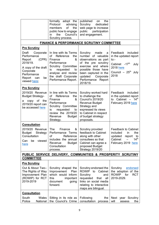|                                                                                                                                                                                | formally adopt the<br>Protocol<br>advising<br>of<br>members<br>the<br>public how to engage<br>Council's<br>in<br>the<br>Scrutiny process.                                                          | published<br>the<br>on.<br>Scrutiny<br>dedicated<br>web page to increase<br>public<br>participation<br>and engagement.                                                                                                       |                                                                                                                                                   |
|--------------------------------------------------------------------------------------------------------------------------------------------------------------------------------|----------------------------------------------------------------------------------------------------------------------------------------------------------------------------------------------------|------------------------------------------------------------------------------------------------------------------------------------------------------------------------------------------------------------------------------|---------------------------------------------------------------------------------------------------------------------------------------------------|
|                                                                                                                                                                                |                                                                                                                                                                                                    | <b>FINANCE &amp; PERFORMANCE SCRUTINY COMMITTEE</b>                                                                                                                                                                          |                                                                                                                                                   |
| <b>Pre Scrutiny</b><br>Draft<br>Corporate<br>Performance<br>(CPR)<br>Report<br>2018/19.<br>A copy of the draft<br>Corporate<br>Performance<br>be<br>Report can<br>viewed here; | In line with its Terms<br>οf<br>Reference<br>the<br>&<br>Finance<br>Performance<br>Scrutiny Committee<br>requested<br>is<br>to<br>analyse and review<br>the draft Corporate<br>Performance Report. | Scrutiny<br>made<br>a<br>number of valuable<br>observations as part<br>of the pre scrutiny<br>exercise and where<br>possible those have<br>been captured in the<br>updated<br>Corporate<br>Performance<br>Report<br>2018/19. | Feedback<br>included<br>in the updated report<br>$to$ :-<br>Cabinet -17 <sup>th</sup><br>July<br><b>2018</b> here<br>Council $-25th$ July<br>2018 |
| <b>Pre Scrutiny</b><br>2019/20 Revenue<br><b>Budget Strategy-</b><br>copy of the<br>a<br>2019/20 report can<br>be accessed here                                                | In line with its Terms<br>Reference<br>the<br>οf<br>&<br>Finance<br>Performance<br>Scrutiny Committee<br>requested<br>is<br>to<br>review the 2019/20<br><b>Budget</b><br>Revenue<br>Strategy.      | Scrutiny worked hard<br>to challenge the<br><b>Council's 2019/20</b><br>Revenue Budget<br>Strategy and<br>expressed its views<br>to Cabinet in respect<br>of budget strategy<br>proposals.                                   | Feedback<br>included<br>in the updated report<br>to Cabinet $-14^{\text{th}}$<br>February 2019 here                                               |
| <b>Consultation</b><br>2019/20 Revenue<br>Strategy<br><b>Budget</b><br>Consultation<br>viewed<br>Can<br>be<br>here                                                             | <b>The</b><br>Finance<br>&<br>Performance Terms<br>οf<br>Reference<br>includes the annual<br><b>Budget</b><br>Revenue<br>Consultation<br>process.                                                  | Scrutiny provided<br>feedback to Cabinet<br>along with other<br>consultees so that<br>Cabinet can agree a<br>proposed Budget<br>Strategy 2019/20                                                                             | <b>Feedback to Cabinet</b><br>the<br>included<br>in.<br>updated<br>report<br>to<br>14 <sup>th</sup><br>Cabinet<br>February 2019 here              |
| <b>COMMITTEE</b>                                                                                                                                                               |                                                                                                                                                                                                    | PUBLIC SERVICE DELIVERY, COMMUNITIES & PROSPERITY SCRUTINY                                                                                                                                                                   |                                                                                                                                                   |
| <b>Pre Scrutiny</b><br>Out & About Two-<br>The Rights of Way<br>Improvement Plan<br>(ROWIP) for RCT<br>2019-2019                                                               | Scrutiny shaped the<br>Improvement<br>Plan<br>which would inform<br>this<br>important<br>document<br>going<br>forward.                                                                             | Scrutiny endorsed the<br>ROWIP to<br>Cabinet<br>Scrutiny<br>and<br>requested<br>that<br>all<br>links on social media<br>relating to interactive<br>maps are bilingual.                                                       | Scrutiny<br>endorsed<br>the adoption of the<br><b>ROWIP</b><br>for<br><b>RCT</b><br>2019-2029.                                                    |
| <b>Consultation</b>                                                                                                                                                            |                                                                                                                                                                                                    |                                                                                                                                                                                                                              |                                                                                                                                                   |
| South<br>Wales<br>Police<br>National                                                                                                                                           | Sitting in its role as<br>the Council's Crime                                                                                                                                                      | Following<br>the<br>consultation<br>process                                                                                                                                                                                  | Next year Scrutiny<br>will<br>the<br>assess                                                                                                       |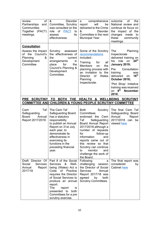| of<br>review<br>Partnerships<br>and<br>Communities<br>Together (PACT)<br>meetings.                           | &<br><b>Disorder</b><br>Committee, Scrutiny<br>was consulted on the<br>of PACT<br>role<br>to<br>its<br>assess<br>effectiveness.                                                                                                                                             | comprehensive<br>a<br>will<br>be<br>report<br>delivered to the Crime<br>&<br><b>Disorder</b><br>Committee in the next<br>Municipal Year.                                                                                                                                                                                              | of<br>the<br>outcome<br>National review and<br>continue its focus on<br>the impact of the<br>changes<br>made<br>to<br>these<br>community<br>meetings.                                                                                                                                                                        |
|--------------------------------------------------------------------------------------------------------------|-----------------------------------------------------------------------------------------------------------------------------------------------------------------------------------------------------------------------------------------------------------------------------|---------------------------------------------------------------------------------------------------------------------------------------------------------------------------------------------------------------------------------------------------------------------------------------------------------------------------------------|------------------------------------------------------------------------------------------------------------------------------------------------------------------------------------------------------------------------------------------------------------------------------------------------------------------------------|
| <b>Consultation</b><br>Assess the impact<br>the Council's<br>οf<br>Planning<br>&<br>Development<br>Committee | Scrutiny<br>assessed<br>the effectiveness of<br>the<br>current<br>arrangements<br><i>in</i><br>place<br>for<br>the<br>Council's Planning &<br>Development<br>Committee.                                                                                                     | Some of the Scrutiny<br>recommendations<br>included:-<br>Training<br>for<br>all<br><b>Members</b><br>on<br>the<br>planning process with<br>an invitation to the<br>Wales<br>Director of<br>Planning<br>Inspectorate.                                                                                                                  | Planning<br>The<br>Inspectorate<br>delivered training on<br>24 <sup>th</sup><br>role<br>his<br>on<br>January 2019;<br>Consultation<br>Pre<br>training<br>was<br>18 <sup>th</sup><br>delivered<br>on<br>October 2018;<br>'Plot Shop' Initiative<br>training was received<br>8 <sup>th</sup><br><b>November</b><br>on<br>2018. |
|                                                                                                              |                                                                                                                                                                                                                                                                             | PRE SCRUTINY TO BOTH THE HEALTH & WELLBEING SCRUTINY<br><b>COMMITTEE AND CHILDREN &amp; YOUNG PEOPLE SCRUTINY COMMITTEE</b>                                                                                                                                                                                                           |                                                                                                                                                                                                                                                                                                                              |
| Taf<br>Cwm<br>Safeguarding<br><b>Board</b><br>Annual<br>Report 2017/2018                                     | The Cwm Taf<br>Safeguarding Board<br>has a statutory<br>responsibility<br>to publish an Annual<br>Report on 31st July<br>each year, to<br>demonstrate its<br>effectiveness in<br>exercising its<br>functions in the<br>preceding financial<br>year.                         | <b>Both</b><br>Scrutiny<br>Committees<br>endorsed the Cwm<br>Safeguarding<br>Taf<br>Board Annual Report<br>2017/2018 although a<br>number of requests<br>for<br>follow-up<br>information<br>and<br>reports came out of<br>this review so that<br>Scrutiny can continue<br>monitor<br>and<br>to<br>challenge the work of<br>the Board. | The final Cwm Taf<br>Safeguarding Board<br>Annual<br>Report<br>2017/2018 can<br>be<br>viewed here                                                                                                                                                                                                                            |
| Draft Director Of<br><b>Services</b><br>Social<br>Report<br>Annual<br>2017/18                                | Part 8 of the Social<br>&<br>Well-<br>Services<br>being (Wales) Act a<br>Code<br>of Practice<br>requires the Director<br>of Social Services to<br>produce an annual<br>report.<br>The<br>report<br>is<br>presented to<br>both<br>Committees for a pre<br>scrutiny exercise. | Following<br>a<br>challenging<br>session<br>the Director of Social<br><b>Services</b><br>Annual<br>Report 2017/18 was<br>agreed<br>both<br>by<br><b>Scrutiny Committees.</b>                                                                                                                                                          | The final report was<br>considered<br>by<br><b>Cabinet here</b>                                                                                                                                                                                                                                                              |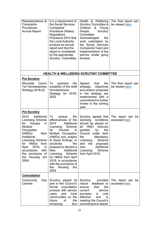| Representations &<br>Complaints<br>Procedures<br><b>Annual Report</b>                                                                                                                                                                                                                                               | It is a requirement of<br>the Social Services<br>Complaints<br>Procedure (Wales)<br>Regulations<br>Procedure 2014 that<br>the Local Authority<br>produce an annual<br>report and that the<br>report is considered<br>by the appropriate<br>Scrutiny Committee.                                                                                                                                   | Health & Wellbeing<br><b>Scrutiny Committee &amp;</b><br>Children<br>& Young<br>Scrutiny<br>People<br>Committee<br>Acknowledged<br>the<br>work undertaken by<br>the Social Services<br>Complaints Team and<br>implementation of the<br>service model going<br>forward.                           | The final report can<br>be viewed here. |
|---------------------------------------------------------------------------------------------------------------------------------------------------------------------------------------------------------------------------------------------------------------------------------------------------------------------|--------------------------------------------------------------------------------------------------------------------------------------------------------------------------------------------------------------------------------------------------------------------------------------------------------------------------------------------------------------------------------------------------|--------------------------------------------------------------------------------------------------------------------------------------------------------------------------------------------------------------------------------------------------------------------------------------------------|-----------------------------------------|
|                                                                                                                                                                                                                                                                                                                     |                                                                                                                                                                                                                                                                                                                                                                                                  | <b>HEALTH &amp; WELLBEING SCRUTINY COMMITTEE</b>                                                                                                                                                                                                                                                 |                                         |
| <b>Pre Scrutiny</b>                                                                                                                                                                                                                                                                                                 |                                                                                                                                                                                                                                                                                                                                                                                                  |                                                                                                                                                                                                                                                                                                  |                                         |
| Rhondda<br>Cynon<br><b>Taf Homelessness</b><br>Strategy 2018-22                                                                                                                                                                                                                                                     | examine<br>the<br>To<br>suitability of the draft<br>Homelessness<br>Strategy for 2018-<br>2022                                                                                                                                                                                                                                                                                                   | Agreed<br>that<br>the  <br>strategic<br>objectives<br>and actions proposed<br>in the strategy are<br>implemented with a<br>commitment to further<br>review in the coming<br>year.                                                                                                                | The final report can<br>be viewed here  |
| <b>Pre Scrutiny</b><br>2014<br>Additional<br>Licensing Scheme<br><b>Houses</b><br>for<br>in<br><b>Multiple</b><br>Occupation<br>(HMOs)<br>New<br>Additional<br><b>Licensing Scheme</b><br><b>HMOs</b><br>from<br>for<br>2019,<br>April<br>in<br>accordance<br>with<br>the provisions of<br>the Housing Act<br>2004. | To<br>the<br>assess<br>effectiveness of the<br>2014<br>Additional<br>Scheme<br>Licensing<br>for<br>Houses<br>in<br>Multiple Occupation<br>(HMOs) and, subject<br>to those findings, to<br>scrutinise<br>the<br>proposal to declare a<br><b>New</b><br>Additional<br>Licensing<br>Scheme<br>for HMOs from April<br>2019, in accordance<br>with the provisions of<br>the<br>Housing<br>Act<br>2004 | Scrutiny agreed that<br>licensing<br>conditions<br>should be placed on<br><b>HMO</b><br>all<br>licences<br>granted<br>by<br>the<br>Council<br>under<br>both<br>the<br>Mandatory<br>Scheme<br>Licensing<br>the<br>and<br>proposed<br>Additional<br>new<br>Scheme<br>Licensing<br>from April 2019. | The report can be<br>accessed here.     |
| <b>Consultation</b><br>Community<br>Day<br>Centres                                                                                                                                                                                                                                                                  | Scrutiny played its<br>part in the Council's<br>formal<br>consultation<br>process with service<br>and<br>local<br>users<br>communities on the<br>future<br>of<br>the<br>remaining<br>four                                                                                                                                                                                                        | Scrutiny<br>provided<br>robust<br>feedback to<br>that<br>the<br>ensure<br>service<br>current<br>provision<br>cost<br>is<br>effective<br>and<br>is<br>meeting the Council's<br>commitment to deliver                                                                                              | The report can be<br>accessed here.     |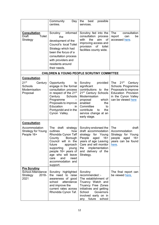|                                                                          | Community<br>Day<br>centres.                                                                                                                                                                                                                                 | the best<br>possible<br>services.                                                                                                                                                                                                             |                                                                                                                                                         |
|--------------------------------------------------------------------------|--------------------------------------------------------------------------------------------------------------------------------------------------------------------------------------------------------------------------------------------------------------|-----------------------------------------------------------------------------------------------------------------------------------------------------------------------------------------------------------------------------------------------|---------------------------------------------------------------------------------------------------------------------------------------------------------|
| <b>Consultation</b><br><b>Draft</b><br>Toilet<br>Strategy                | informed<br>Scrutiny<br>the<br>development of the<br>Council's local Toilet<br>Strategy which had<br>been the focus of a<br>consultation process<br>with providers and<br>residents around<br>their needs.                                                   | Scrutiny fed into the<br>consultation process<br>aim<br>with<br>the<br>0f<br>improving access and<br>provision<br>of<br>toilet<br>facilities county wide.                                                                                     | The<br>consultation<br>report<br>be<br>can<br>accessed here.                                                                                            |
|                                                                          |                                                                                                                                                                                                                                                              | <b>CHILDREN &amp; YOUNG PEOPLE SCRUTINY COMMITTEE</b>                                                                                                                                                                                         |                                                                                                                                                         |
| <b>Consultation</b>                                                      |                                                                                                                                                                                                                                                              |                                                                                                                                                                                                                                               |                                                                                                                                                         |
| $21^{st}$<br>Century<br>Schools<br>Modernisation<br>Proposal             | Opportunity<br>to<br>engage in the formal<br>consultation process<br>in respect of the 21 <sup>st</sup><br>Century<br>Schools<br>Programme<br>Proposals to improve<br>Education<br>$\mathsf{I}$<br>Pontypridd and in the<br>Cynon Valley.                    | Scrutiny<br>provided<br>significant<br>contributions to the<br>21 <sup>st</sup> Century Schools<br>Modernisation<br>which<br>proposal<br>enabled<br>the<br>Committee<br>to<br>contribute<br>the<br>to<br>service change at an<br>early stage. | $21^{\rm st}$<br><b>The</b><br>Century<br>Schools Programme<br>Proposals to improve<br>Education Provision<br>in the Cynon Valley<br>can be viewed here |
| <b>Consultation</b>                                                      |                                                                                                                                                                                                                                                              |                                                                                                                                                                                                                                               |                                                                                                                                                         |
| Accommodation<br><b>Strategy for Young</b><br>People 16+                 | draft<br>The<br>strategy<br>outlines<br>how<br>Rhondda Cynon Taff<br>County Borough<br>Council will in the<br>future<br>approach<br>supporting<br>young<br>people 16+ years of<br>age who will leave<br>and<br>need<br>care<br>accommodation and<br>support. | Scrutiny endorsed the<br>draft accommodation<br>strategy<br>for Young<br>People aged 16+<br>years of age Leaving<br>Care and will monitor<br>the implementation<br>and delivery of the<br>Strategy.                                           | <b>The</b><br>draft<br>Accommodation<br>Strategy for Young<br>people aged 16+<br>years can be found<br>here.                                            |
| <b>Pre Scrutiny</b><br>School Attendance<br>$2018 -$<br>Strategy<br>2021 | Scrutiny highlighted<br>the need to raise<br>awareness of good<br>attendance<br>school<br>and improve the<br>current rates across<br>Rhondda Cynon Taf.                                                                                                      | Scrutiny<br>recommended :-<br>The establishment of<br>Truancy Watch and<br>Truancy Free Zones<br>initiatives and getting<br>School<br>Governors<br>involved early on in<br>any future school                                                  | The final report can<br>be viewed here.                                                                                                                 |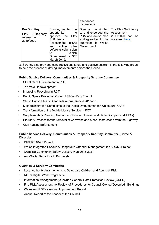|                                                                       |                                                                                                                                                                                                               | attendance<br>discussions.                                                                                                           |                                                                             |
|-----------------------------------------------------------------------|---------------------------------------------------------------------------------------------------------------------------------------------------------------------------------------------------------------|--------------------------------------------------------------------------------------------------------------------------------------|-----------------------------------------------------------------------------|
| <b>Pre Scrutiny</b><br>Sufficiency<br>Play<br>Assessment<br>2019/2020 | Scrutiny wanted the<br>opportunity<br>approve the Play<br>Sufficiency<br>Assessment<br>(PSA)<br>plan  <br>and action<br>before its submission<br>Welsh<br>to<br>Government by 31 <sup>st</sup><br>March 2019. | Scrutiny contributed<br>to to and endorsed the<br>PSA and action plan<br>and agreed for it to be<br>submitted to Welsh<br>Government | The Play Sufficiency<br>Assessment<br>2019/2020 can<br>be<br>accessed here. |

3. Scrutiny also provided constructive challenge and positive criticism in the following areas to help the process of driving improvements across the Council.

# **Public Service Delivery, Communities & Prosperity Scrutiny Committee**

- Street Care Enforcement in RCT
- Taff Vale Redevelopment
- Improving Recycling in RCT
- Public Space Protection Order (PSPO) Dog Control
- Welsh Public Library Standards Annual Report 2017/2018
- Maladministration Complaints to the Public Ombudsman for Wales 2017/2018
- Transformation of the Mobile Library Service in RCT
- Supplementary Planning Guidance (SPG) for Houses in Multiple Occupation (HMO's)
- Statutory Process for the removal of Caravans and other Obstructions from the Highway
- Civil Parking Enforcement

# **Public Service Delivery, Communities & Prosperity Scrutiny Committee (Crime & Disorder**)

- DIVERT 18-25 Project
- Wales Integrated Serious & Dangerous Offender Management (WISDOM) Project
- Cwm Taf Community Safety Delivery Plan 2018-2021
- Anti-Social Behaviour in Partnership

# **Overview & Scrutiny Committee**

- Local Authority Arrangements to Safeguard Children and Adults at Risk
- RCT's Digital Work Programme
- Information Management (to include General Data Protection Review (GDPR)
- Fire Risk Assessment A Review of Procedures for Council Owned/Occupied Buildings
- Wales Audit Office Annual Improvement Report
- Annual Report of the Leader of the Council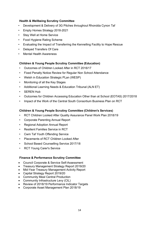# **Health & Wellbeing Scrutiny Committee**

- Development & Delivery of 3G Pitches throughout Rhondda Cynon Taf
- Empty Homes Strategy 2018-2021
- Stay Well at Home Service
- Food Hygiene Rating Scheme
- Evaluating the Impact of Transferring the Kennelling Facility to Hope Rescue
- Delayed Transfers Of Care
- Mental Health Awareness

# **Children & Young People Scrutiny Committee (Education)**

- Outcomes of Children Looked After in RCT 2016/17
- Fixed Penalty Notice Review for Regular Non School Attendance
- Welsh in Education Strategic PLan (WESP)
- Monitoring of all the Key Stages
- Additional Learning Needs & Education Tribunal (ALN ET)
- SEREN Hub
- Outcomes for Children Accessing Education Other than at School (EOTAS) 2017/2018
- Impact of the Work of the Central South Consortium Business Plan on RCT

# **Children & Young People Scrutiny Committee (Children's Services)**

- RCT Children Looked After Quality Assurance Panel Work Plan 2018/19
- Corporate Parenting Annual Report
- Regional Adoption Annual Report
- Resilient Families Service in RCT
- Cwm Taf Youth Offending Service
- Placements of RCT Children Looked After
- School Based Counselling Service 2017/18
- RCT Young Carer's Service

### **Finance & Performance Scrutiny Committee**

- Council Corporate & Service Self-Assessment
- Treasury Management Strategy Report 2019/20
- Mid-Year Treasury Management Activity Report
- Capital Strategy Report 2019/20
- Community Meal Central Production
- Community Infrastructure Levy (CIL)
- Review of 2018/19 Performance Indicator Targets
- Corporate Asset Management Plan 2018/19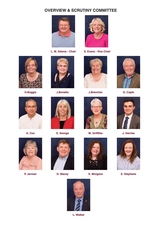# **OVERVIEW & SCRUTINY COMMITTEE**





**L. M. Adams - Chair S. Evans - Vice Chair**







**H.Boggis J.Bonetto J.Brencher G. Caple**









**A. Cox E. George M. Griffiths J. Harries**



**P. Jarman D. Macey**









**S. Morgans E. Stephens**

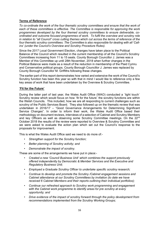# **Terms of Reference**

*To co-ordinate the work of the four thematic scrutiny committees and ensure that the work of each of these committees is effective. The Committee is responsible for approving the work programmes developed by the four themed scrutiny committees to ensure deliverable, coordinated and outcome focused programmes of work. To fulfil the overview and scrutiny role in relation to "all Council" cross cutting themes which cut across the terms of reference of the four thematic scrutiny committees. The Committee is also responsible for dealing with all 'Callins' (under the Council's Overview and Scrutiny Procedure Rules).*

Since the 2017 Local Government Election, changes have taken place to the Political Balance of the Council which resulted in the current membership of all the Council's Scrutiny Committees increasing from 11 to 15 seats. County Borough Councillor J. James was a Member of this Committee up until 28th November, 2018 when further changes in the Political Balance were made as a result of the reduction in membership of the Plaid Cymru and Conservative political groups. County Borough Councillor J. James was replaced by County Borough Councillor M. Griffiths following these changes.

The earlier part of this report demonstrates how varied and extensive the work of the Council's Scrutiny function has been this year so with that in mind I would like to reference only a few key areas of work that have been undertaken by the Overview & Scrutiny Committee.

# **'Fit for the Future'**

During the latter part of last year, the Wales Audit Office (WAO) conducted a `light touch` Scrutiny review which would focus on how `fit for the future` the scrutiny functions are within the Welsh Councils. This included, how we are all responding to current challenges such as scrutiny of the Public Services Board. They also followed up on the thematic review that was undertaken in 2016/17 – "Good Governance Arrangements for Determining Significant Service Changes". In order to inform their work, the Wales Audit Office based their methodology on document reviews, interviews of a selection of Cabinet and Scrutiny Members and key Officers as well as observing some Scrutiny Committee meetings. On the 22<sup>nd</sup> October 2018 the results of the review were reported to Overview & Scrutiny Committee and we were asked to evaluate the action plan which set out the Council's response to the proposals for improvement.

This is what the Wales Audit Office said we need to do more of:-

- *Strengthen support for the Scrutiny function;*
- *Better planning of Scrutiny activity; and*
- *Demonstrate the impact of scrutiny.*

These are some of the arrangements we have put in place:-

- *Created a new 'Council Business Unit' which combines the support previously offered independently by Democratic & Member Services and the Executive and Regulatory Business Unit;*
- *Employed a Graduate Scrutiny Officer to undertake specific scrutiny research;*
- *Continue to develop and promote the Scrutiny /Cabinet engagement sessions and Cabinet attendance at our Scrutiny Committees by invitation (to date we have received 6 Cabinet Members and their reports outlining their individual portfolios);*
- *Continue our refreshed approach to Scrutiny work programming and engagement with the Cabinet work programme to identify areas for pre scrutiny at every opportunity; and*
- *Drive evidence of the impact of scrutiny forward through the policy development from recommendations implemented from the Scrutiny Working Groups;*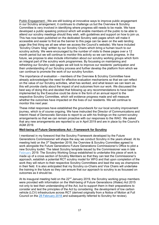Public Engagement - We are still looking at innovative ways to improve public engagement in our Scrutiny arrangement, it continues to challenge us but the Overview & Scrutiny Committee is very involved in identifying where progress still needs to be made. We have developed a public speaking protocol which will enable members of the public to be able to attend our scrutiny meetings should they wish, with guidelines and support on how to join us. This has now been published on the dedicated Scrutiny web pages which will make it accessible and easier to find as the banner to this page can be seen on the web landing page (the first thing we all see when we access the Council's website). We have included 'Scrutiny Chairs 'blog' written by our Scrutiny Chairs which bring a human touch to our scrutiny activity. We were encouraged by the number of visits to these pages over a 12 month period but we will continue to monitor this activity so we can track progress. In the future, we propose to also include information about our scrutiny working groups which form an integral part of the scrutiny work programmes. By focussing on maintaining and refreshing our Scrutiny web pages we will look to improve our residents' participation and their understanding of our Scrutiny process and further develop the platform from which we can continue to promote the work of our scrutiny function.

The importance of evaluation – members of the Overview & Scrutiny Committee have already acknowledged the need for effective evaluation mechanisms so that we can reflect on the value of our Scrutiny activities, what has worked, and what lesson we can learn as this will provide clarity about the impact of and outcomes from our work. We discussed the best way of doing this and decided that following up any recommendations to have been implemented by the Executive could be done in the form of an annual report to the respective Scrutiny Committee, which will evidence progress made and will measure whether the outcomes have impacted on the lives of our residents. We will continue to monitor this next year.

These initial responses have established the groundwork for our local scrutiny improvement journey, which is of course ongoing. We have instructed the Director of Communications and Interim Head of Democratic Services to report to us with his findings on the current scrutiny arrangements so that we can remain proactive with our responses to the WAO. We asked that any new arrangements are reported to us in April 2019 and are in place by the Council's AGM 2019.

### **Well-being of Future Generations Act - Framework for Scrutiny**

I mentioned in my foreword that the Scrutiny Framework developed by the Future Generations Commissioner will shape the way we conduct Scrutiny in the years ahead. At its meeting held on the 3<sup>rd</sup> September 2018, the Overview & Scrutiny Committee agreed to work alongside the Future Generations Future Generations Commissioner's Office to pilot a new Scrutiny toolkit. The latest Scrutiny template issued by the Commissioner was in late February 2019. The Scrutiny Working Group established to undertake this piece of work is made up of a cross section of Scrutiny Members so that they can test the Commissioner's approach, establish a potential RCT scrutiny model for WFG and that upon completion of the work they will return to their respective Scrutiny Committees and lead the way as champions in their field. It is also anticipated that my Scrutiny co-Chairs and Vice Chairs will undertake the training in the future so they can ensure that our approach to scrutiny is as focussed on outcomes as it should be.

At its inaugural meeting held on the  $22<sup>nd</sup>$  January 2019, the Scrutiny working group members were provided with information on the Well-being of Future Generations (Wales) Act 2015 not only to test their understanding of the Act, but to support them in their preparations to consider and test the principles of the Act by considering the development of low carbon vehicle (LCV) infrastructure across RCT (derived originally from a Notice of Motion at Full Council on the 28 February 2018 and subsequently referred to Scrutiny for review).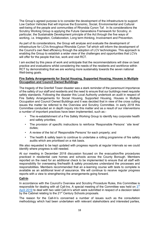The Group's agreed purpose is to consider the development of the infrastructure to support Low Carbon Vehicles that will improve the Economic, Social, Environmental and Cultural well-being of the people and communities of Rhondda Cynon Taf. In its considerations the Scrutiny Working Group is applying the Future Generations Framework for Scrutiny, in particular, the Sustainable Development principle of the Act through the five ways of working, i.e. Integration, Collaboration, Long term thinking, Involvement and Prevention.

As part of its considerations, the Group will analyse and evaluate the development of infrastructure for LCVs throughout Rhondda Cynon Taf which will inform the development of the Council's own fleet efficiency through the adoption of LCV technologies. This approach is enabling the Group to establish a wider view of the challenges and opportunities that LCVs will offer for the people that live, work and visit RCT.

I am excited by this piece of work and anticipate that the recommendations will draw on best practice and evaluations whilst considering the needs of the residents and workforce within RCT by demonstrating that we are working more sustainably towards the seven national Well-being goals.

### **Fire Safety Arrangements for Social Housing, Supported Housing, Houses in Multiple Occupation and Council Owned Buildings.**

The tragedy of the Grenfell Tower disaster was a stark reminder of the paramount importance of the safety of our staff and residents and the need to ensure that our buildings meet requisite safety standards. Following the disaster this Local Authority undertook an audit in respect of Fire Safety Arrangements for Social Housing, Supported Housing, Houses in Multiple Occupation and Council Owned Buildings and it was decided that in view of the cross cutting issues the matter be referred to the Overview and Scrutiny Committee. In early 2018 this Committee conducted an in depth inquiry into this matter and as a result of our interventions a number of important practices have been implemented, such as:-

- The re-establishment of a Fire Safety Working Group to identify key corporate health and safety priorities;
- The provision of specific instructions to reinforce 'Responsible Persons' `site level` duties;
- A review of the list of 'Responsible Persons' for each property; and
- The health & safety team to continue to undertake a rolling programme of fire safety audits which are prioritised on a risk basis.

We also requested to be kept updated with progress reports at regular intervals so we could identify where progress is still needed.

At our meeting in December 2018 discussion focused on the evacuation/fire procedures practiced in residential care homes and schools across the County Borough. Members reported on the need for an additional check to be implemented to ensure that all staff with responsibility for overseeing fire/health & safety procedures understand the processes and responsibilities. Members recommended that an e-learning course with tests to complete is available as an additional level of assurance. We will continue to receive regular progress reports with a view to strengthening the arrangements going forward.

### **Call-In**

In accordance with the Council's Overview and Scrutiny Procedure Rules, this Committee is responsible for dealing with all Call-Ins. A special meeting of the Committee was held on 3<sup>rd</sup> April 2019 to deal with two valid Call-In's which were submitted in respect of a decision taken by the Cabinet relating to the 21<sup>st</sup> Century Schools proposals.

The reason for the Call-In's concerned a number of issues such as the consultation methodology which had been undertaken with relevant stakeholders and interested parties,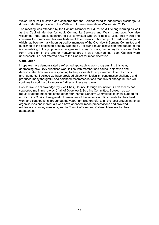Welsh Medium Education and concerns that the Cabinet failed to adequately discharge its duties under the provision of the Welfare of Future Generations (Wales) Act 2015.

The meeting was attended by the Cabinet Member for Education & Lifelong learning as well as the Cabinet Member for Adult Community Services and Welsh Language. We also welcomed three public speakers to our committee who were able to voice their views and concerns to Committee (this was testament to our newly published public participation guide which had been formally been agreed by members of the Overview & Scrutiny Committee and published to the dedicated Scrutiny webpage). Following much discussion and debate of the issues relating to the proposals to reorganise Primary Schools, Secondary Schools and Sixth Form provision in the greater Pontypridd area it was resolved that both Call-In's were unsuccessful i.e. not referred back to the Cabinet for reconsideration.

#### **Conclusion**

I hope we have demonstrated a refreshed approach to work programming this year, addressing how O&S prioritises work in line with member and council objectives and demonstrated how we are responding to the proposals for improvement to our Scrutiny arrangements. I believe we have provided objectivity, logicality, constructive challenge and produced many thoughtful and balanced recommendations that deliver change but we will continue to work hard to improve further on these next year.

I would like to acknowledge my Vice Chair, County Borough Councillor S. Evans who has supported me in my role as Chair of Overview & Scrutiny Committee. Between us we regularly attend meetings of the other four themed Scrutiny Committees to show support for our Scrutiny Chairs. I am grateful to members of the various scrutiny panels for their hard work and contributions throughout the year. I am also grateful to all the local groups, national organisations and individuals who have attended, made presentations and provided evidence at scrutiny meetings, and to Council officers and Cabinet Members for their attendance.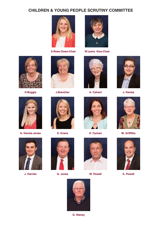# **CHILDREN & YOUNG PEOPLE SCRUTINY COMMITTEE**





**S.Rees-Owen-Chair W.Lewis -Vice-Chair**













**A. Davies-Jones S. Evans H. Fychan M. Griffiths**



**J. Harries G. Jones**







**M. Powell S. Powell**

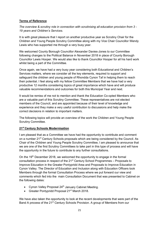# **Terms of Reference**

*The overview & scrutiny role in connection with scrutinising all education provision from 3 - 19 years and Children's Services.*

It is with great pleasure that I report on another productive year as Scrutiny Chair for the Children and Young People Scrutiny Committee along with my Vice Chair Councillor Wendy Lewis who has supported me through a very busy year.

We welcomed County Borough Councillor Alexander Davies-Jones to our Committee following changes to the Political Balance in November 2018 in place of County Borough Councillor Lewis Hooper. We would also like to thank Councillor Hooper for all his hard work whilst being a part of the Committee.

Once again, we have had a very busy year considering both Educational and Children's Services matters, where we consider all the key elements, required to support and safeguard the children and young people of Rhondda Cynon Taf in helping them to reach their potential. I feel along with my fellow Committee Members that we have had a very productive 12 months considering topics of great importance which have and will produce valuable recommendations and outcomes for both this Municipal Year and next.

It would be remiss of me not to mention and thank the Education Co-opted Members who are a valuable part of this Scrutiny Committee. These representatives are not elected members of the Council, and are appointed because of their level of knowledge and experience and they make a very useful contribution to discussions and help make the correct decisions in relation to important matters.

The following topics will provide an overview of the work the Children and Young People Scrutiny Committee.

# **21st Century Schools Modernisation**

I am pleased that as a Committee we have had the opportunity to contribute and comment on a number 21<sup>st</sup> Century Schools proposals which are being considered by the Council. As Chair of the Children and Young People Scrutiny Committee, I am pleased to announce that we are one of the first Scrutiny Committees to take part in this type of process and will have the opportunity in the future to contribute to any further consultations.

On the  $19<sup>th</sup>$  December 2018, we welcomed the opportunity to engage in the formal consultation process in respect of the 21<sup>st</sup> Century School Programmes – Proposals to Improve Education in the Greater Pontypridd Area and Proposals to Improve Education in Cynon Valley. The Director of Education and Inclusion along with Education Officers took Members through the formal Consultation Process where we put forward our view and comments which fed into the main Consultation Document that was presented to Cabinet on the following dates:

- Cynon Valley Proposal  $24<sup>th</sup>$  January Cabinet Meeting.
- Greater Pontypridd Proposal 21<sup>st</sup> March 2018.

We have also taken the opportunity to look at the recent developments that were part of the Band A process of the 21<sup>st</sup> Century Schools Provision. A group of Members from our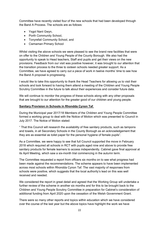Committee have recently visited four of the new schools that had been developed through the Band A Process. The schools are as follows:

- Ysgol Nant Gwyn,
- Porth Community School.
- Tonyrefail Community School, and
- Cwmaman Primary School

Whilst visiting the above schools we were pleased to see the brand new facilities that were on offer to the Children and Young People of the County Borough. We also had the opportunity to speak to Head teachers, Staff and pupils and get their views on the new provisions. Feedback from our visit was positive however, it was brought to our attention that the transition process to the three to sixteen schools needed greater support. As a Committee, we have agreed to carry out a piece of work in twelve months' time to see how the Band A proposal is progressing.

I would like to take this opportunity to thank the Head Teachers for allowing us to visit their schools and look forward to having them attend a meeting of the Children and Young People Scrutiny Committee in the future to talk about their experiences and consider future data.

We will continue to monitor the progress of these schools along with any other proposals that are brought to our attention for the greater good of our children and young people.

### **Sanitary Provision in Schools in Rhondda Cynon Taf**.

During the Municipal year 2017/18 Members of the Children and Young People Committee formed a working group to deal with the Notice of Motion which was presented to Council in July 2017. The Notice of Motion stated:

" That this Council will research the availability of free sanitary products, such as tampons and towels, in all Secondary Schools in the County Borough as an acknowledgement that they are as essential as toilet paper for the personal hygiene of female pupils".

As a Committee, we were happy to see that full Council supported the move in February 2018 which required all schools in RCT with pupils aged nine and above to provide free sanitary products for female learners to access independently. Cabinet gave final approval at its April Meeting, which saw a six-month trial commencing in the autumn term.

The Committee requested a report from officers six months on to see what progress had been made against the recommendations. The scheme appears to have been implemented across most schools within Rhondda Cynon Taf. The vast majority of responses from schools were positive, which suggests that the local authority's lead on this was well received and needed.

We considered the report in great detail and agreed that the Working Group will undertake a further review of the scheme in another six months and for this to be brought back to the Children and Young People Scrutiny Committee in preparation for Cabinet's consideration of additional funding from April 2020 upon the cessation of the Welsh Government Grant.

There were so many other reports and topics within education which we have considered over the course of the last year but the above topics have highlight the work we have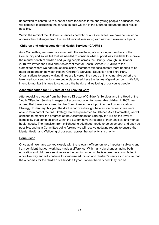undertaken to contribute to a better future for our children and young people's education. We will continue to scrutinise the service as best we can in the future to ensure the best results possible.

Within the remit of the Children's Services portfolio of our Committee, we have continued to address the challenges from the last Municipal year along with new and relevant subjects.

# **Children and Adolescent Mental Health Services (CAHMS )**

As a Committee, we were concerned with the wellbeing of our younger members of the Community and so we felt that we needed to consider what support was available to improve the mental health of children and young people across the County Borough. In October 2018, we invited the Child and Adolescent Mental Health Service (CAMHS) to the Committee where we had robust discussion. Members felt passionately there needed to be more collaboration between Health, Children's Services, Education and Third Party Organisations to ensure waiting times are lowered, the needs of this vulnerable cohort are taken seriously and actions are put in place to address the issues of great concern. We fully intend to monitor this area to safeguard the health and wellbeing of our young people.

# **Accommodation for 16+years of age Leaving Care**

After receiving a report from the Service Director of Children's Services and the Head of the Youth Offending Service in respect of accommodation for vulnerable children in RCT, we agreed that there was a need for the Committee to have input into the Accommodation Strategy. In January this year the draft report was brought before Committee so we were able to form part of the final Strategy that was presented to Cabinet. As a Committee, we will continue to monitor the progress of the Accommodation Strategy for 16+ as the level of complexity that some children within the system have in respect of their physical and mental health needs. The transition from childhood to adulthood needs to be as smooth and easy as possible, and as a Committee going forward we will receive updating reports to ensure the Mental Health and Wellbeing of our youth across the authority is a priority.

# **Conclusion**

Once again we have worked closely with the relevant officers on very important subjects and I am confident that our work has made a difference. With many big changes facing both education and children's services over the coming months I believe we have contributed in a positive way and will continue to scrutinise education and children's services to ensure that the outcomes for the children of Rhondda Cynon Taf are the very best they can be.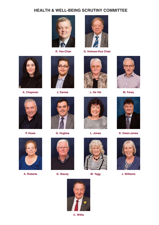# **HEALTH & WELL-BEING SCRUTINY COMMITTEE**





**R. Yeo-Chair G. Holmes-Vice Chair**















**P. Howe G. Hughes L. Jones D. Owen-Jones**



**A. Roberts G. Stacey**







**M. Tegg J. Williams**



**C. Willis**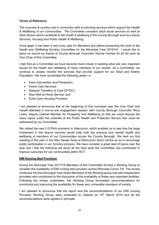# **Terms of Reference**

*The overview & scrutiny role in connection with scrutinising services which support the Health & Wellbeing of our communities. The Committee considers adult social services as well as other factors which contribute to the health & wellbeing of the County Borough such as Leisure Services, Housing and Public Health & Wellbeing.*

Once again it has been a very busy year for Members and before presenting the work of the Health and Wellbeing Scrutiny Committee for the Municipal Year 2018/19 , I would like to place on record my thanks to County Borough Councillor Glynne Holmes for all his work as Vice Chair of this Committee.

I feel that as a Committee we have become more robust in tackling what are very important issues for the health and wellbeing of many members of our society. As a Committee, we continue to closely monitor the services that provide support for our Adult and Elderly Population. We have scrutinised the following areas i.e.:

- Early Intervention and Prevention;
- Home Care Services;
- Delayed Transfers of Care (DTOC);
- Stay Well at Home Service; and
- Extra Care Housing Provision.

I am pleased to announce that at the beginning of this municipal year the Vice Chair and myself attended a one-to-one engagement session with County Borough Councillor Rhys Lewis, Deputy Cabinet Member for Prosperity and Wellbeing so that we could discuss the many topics under the umbrella of the Public Health and Protection Service that could be addressed by our Committee.

We visited the new 3 G Pitch provision in Abercynon, which enabled us to see how the large investment in the leisure services would help both the physical and mental health and wellbeing of members of our Communities across the County Borough. We held our first meeting of the year in the Alby Davies Suite at Abrecynon Sport Centre so as to encourage public participation in our Scrutiny process. We have consider a great deal of topics over the year and I feel the following will show all the hard work the Committee has contributed in improve outcomes for our communities within RCT.

### **EMI Nursing Bed Provision**

During the Municipal Year 2017/18 Members of this Committee formed a Working Group to consider the availability of EMI nursing bed provision across Rhondda Cynon Taf. The review continued into this Municipal Year where Members of the Working group met with independent providers who contributed to the discussion of the availability of these very important facilities. Following the review undertaken, the Working Group formulated recommendations for monitoring and improving the availability for these very vulnerable members of society.

I am pleased to announce that the report and the recommendations of our EMI nursing Provision Working Group were presented to Cabinet on 19<sup>th</sup> March 2019 and all the recommendations were agreed in principle: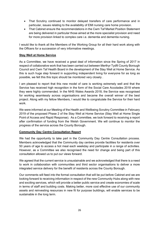- That Scrutiny continued to monitor delayed transfers of care performance and in particular, issues relating to the availability of EMI nursing care home provision.
- That Cabinet ensure the recommendations in the Cwm Taf Market Position Statement are being delivered in particular those aimed at the more specialist provision and need for more provision linked to complex care i.e. dementia and dementia nursing.

I would like to thank all the Members of the Working Group for all their hard work along with the Officers for a succession of very informative meetings.

# **Stay Well at Home Service**

As a Committee, we have received a great deal of information since the Spring of 2017 in respect of collaborative work that has been carried out between Merthyr Tydfil County Borough Council and Cwm Taf Health Board in the development of the Stay Well at Home Service. As this is such huge step forward in supporting independent living for everyone for as long as possible, we felt this this topic should be monitored very closely .

I am pleased to report that this new model of care is working extremely well and that the Service has received high recognition in the form of the Social Care Accolades 2018 where they were highly commended. In the NHS Wales Awards 2018, the Service was recognised for working seamlessly across organisations and became the overall winner of the best project. Along with my fellow Members, I would like to congratulate the Service for their hard work.

We were informed at our Meeting of the Health and Wellbeing Scrutiny Committee in February 2019 of the proposed Phase 2 of the Stay Well at Home Service (Stay Well at Home Single Point of Access and Rapid Response). As a Committee, we look forward to receiving a report after confirmation of funding from the Welsh Government. We will continue to monitor the progress of the service across the County Borough.

# **Community Day Centre Consultation Report**

We had the opportunity to take part in the Community Day Centre Consultation process. Members acknowledged that the Community day centres provide facilities for residents over 50 years of age to access a hot meal each weekday and participate in a range of activities. However, as a Committee we also recognised the need for change and being part of this consultation allowed us to put our views forward.

We agreed that the current service is unsustainable and we acknowledged that there is a need to work in collaboration with communities and third sector organisations to deliver a more integrated service delivery for the benefit of residents across the County Borough.

Our comments will feed into the formal consultation that will be put before Cabinet and we are looking forward to receiving information in respect of the new Community Hubs along with new and exciting services, which will provide a better public service and create economies of scale in terms of staff and building costs. Making better, more cost effective use of our community assets and reinvesting resources in new fit for purpose buildings, will enable services to be sustainable in the long term.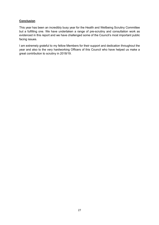# **Conclusion**

This year has been an incredibly busy year for the Health and Wellbeing Scrutiny Committee but a fulfilling one. We have undertaken a range of pre-scrutiny and consultation work as evidenced in this report and we have challenged some of the Council's most important public facing issues.

I am extremely grateful to my fellow Members for their support and dedication throughout the year and also to the very hardworking Officers of this Council who have helped us make a great contribution to scrutiny in 2018/19.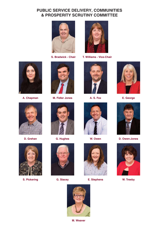# **PUBLIC SERVICE DELIVERY, COMMUNITIES & PROSPERITY SCRUTINY COMMITTEE**





**S. Bradwick - Chair T. Williams - Vice-Chair**







**S. Pickering G. Stacey**













**E. Stephens W. Treeby**





**D. Grehan G. Hughes W. Owen D. Owen-Jones**





**M. Weaver**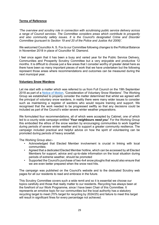# **Terms of Reference**

*'The overview and scrutiny role in connection with scrutinising public service delivery across a range of Council services. The Committee considers areas which contribute to prosperity and also community safety issues. It is the Council's designated Crime and Disorder Committee (pursuant to Section 19 and 20 of the Police and Justice Act 2006)'.*

We welcomed Councillor A. S. Fox to our Committee following changes to the Political Balance in November 2018 in place of Councillor M. Diamond.

I feel once again that it has been a busy and varied year for the Public Service Delivery, Communities and Prosperity Scrutiny Committee but a very enjoyable and productive 12 months. It is difficult to choose just a few areas that I consider worthy of greater detail here as there have been so many important pieces of work that we have undertaken but the following represent those areas where recommendations and outcomes can be measured during the next municipal year.

### **Voluntary Snow Wardens**

Let me start with a matter which was referred to us from Full Council on the 19th September 2018 as part of a Notice of Motion, 'Consideration of Voluntary Snow Wardens'. The Working Group we established to properly consider the matter determined that whilst we agreed with the principal of voluntary snow wardens, in reality there were many wider issues to consider such as maintaining a register of wardens who would require training and support. We recognised that the work needed to be progressed swiftly so that any decisions could be included as part of the Council's wider severe winter weather preparations.

We formulated four recommendations, all of which were accepted by Cabinet, one of which led to a county wide campaign entitled **'***Your neighbours need you'.* For the Working Group this embodied the ethos of the snow warden by encouraging communities to work together during periods of severe winter weather and to support a greater community resilience. The campaign included practical and helpful advice on how the spirit of volunteering can be promoted during periods of heavy snowfall.

The Working Group also:-

- Acknowledged that Elected Member involvement is crucial in linking with local communities;
- Agreed that a dedicated Elected Member hotline, which can be accessed by all Elected Members for support, advice and up-to-date information on the local situation during periods of extreme weather, should be promoted
- Supported the Council's purchase of two 4x4 snow ploughs that would also ensure that we are even better prepared when the snow next hits.

The campaign was published on the Council's website and to the dedicated Scrutiny web pages for all our residents to read and embrace in the future.

This Scrutiny Committee covers such a wide remit and so it is essential we choose our topics carefully and those that really matter to our residents. Recycling has always been at the forefront of our Work Programme, since I have been Chair of this Committee. It represents an emotive topic for our communities but the local authority has a statutory recycling target to meet (70% target for recycling by 2024/25) and failure to meet this target will result in significant fines for every percentage not achieved.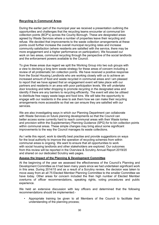# **Recycling in Communal Areas**

During the earlier part of the municipal year we received a presentation outlining the opportunities and challenges that the recycling teams encounter at communal bin collection points (BCP's) across the County Borough. These are designated areas agreed by Waste Services where a number of properties leave their recycling and refuse. We decided that improvements to the waste collection arrangements at these points could further increase the overall municipal recycling rates and increase community satisfaction (where residents are satisfied with the service, there may be more engagement and a higher performance on participation). We focussed our work on two areas, communal recycling through the perspective of the social landlords and the enforcement powers available to the Council.

To give these areas due regard we split the Working Group into two sub groups with a view to devising a long term waste strategy for these areas of concern including a review of all problematic bin collection points. We have received a positive response from the Social Housing Landlords who are working closely with us to achieve an increased amount of food and waste recycled in communal areas and I am pleased to report that we have agreed that an engagement event will take place with our partners and residents in an area with poor participation levels. We will undertake door knocking and letter dropping to promote recycling in the designated area and identify if there are any barriers to recycling efficiently. The event will also be utilised to distribute free nappy waste bags and food bins. We will take the opportunity to engage with our residents in the area to ask them how we can make their recycling arrangements more accessible so that we can ensure they are satisfied with our services.

We are also investigating ways in which our Planning Department can collaborate with Waste Services on future planning developments so that the Council can better access some currently hard to reach communal areas with their Waste lorries and provision within the Supplementary Planning Guidance (SPG) for to bin collection points within communal areas. These simple changes may bring about some significant improvements to the way the Council manages its waste collections.

As I write this report, work to identify best practise and provide suggestions on ways for the local authority to improve the operation of recycling schemes from within communal areas is ongoing. We want to ensure that all opportunities to work with social housing landlords and other stakeholders are explored. Our outcomes from this review will be reported in the Overview & Scrutiny Annual Report 2019/20 and shared on our dedicated Scrutiny web pages.

### **Assess the Impact of the Planning & Development Committee**

At the beginning of the year we assessed the effectiveness of the Council's Planning and Development Committee as it had been many years since we had undertaken significant work in this area. During 2014/15 and as a result of a Scrutiny review, the decision was taken to move away from an all 75 Elected Member Planning Committee to the smaller Committee we have today. Other areas for concern included the then high number of Elected Member overturns of officer recommendations, speaking rights, voting procedures and public experience.

We held an extensive discussion with key officers and determined that the following recommendations should be implemented:-

• Appropriate training be given to all Members of the Council to facilitate their understanding of the planning process;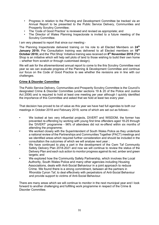- Progress in relation to the Planning and Development Committee be tracked via an Annual Report to be presented to the Public Service Delivery, Communities and Prosperity Scrutiny Committee;
- The 'Code of Good Practice' is reviewed and revised as appropriate; and
- The Director of Wales Planning Inspectorate is invited to a future meeting of the Scrutiny Committee.

I am very pleased to report that since our meeting:-

The Planning Inspectorate delivered training on his role to all Elected Members on **24th January 2019;** Pre Consultation training was delivered to all Elected members on **18th October 2018;** and the 'Plot Shop' Initiative training was received on **8th November 2018** (Plot Shop is an initiative which will help sell plots of land to those wishing to build their own home – whether from scratch or through customised design).

We will ask for the aforementioned annual report to come to the this Scrutiny Committee next year so we can evaluate progress of the Planning & Development Committee and continue our focus on the Code of Good Practice to see whether the revisions are in line with our challenges.

### **Crime & Disorder Committee**

The Public Service Delivery, Communities and Prosperity Scrutiny Committee is the Council's designated Crime & Disorder Committee (under sections 19 & 20 of the Police and Justice Act 2006) and is required to hold at least one meeting per year although I quickly identified the importance of this Committee and asked that we hold at least two every year.

That decision has proved to be of value as this year we have had full agendas to both our meetings in October 2018 and February 2019, some of which are set out as follows:-

- We looked at two very influential projects, DIVERT and WISDOM, the former has prevented re-offending by working with young first time offenders aged 18-25 through the 'DIVERT' programme - 96% of attendees did not re-offend within six months of attending the programme;
- We worked closely with the Superintendent of South Wales Police as they undertook a national review of the Partnerships and Communities Together (PACT) meetings and we identified areas which required further consideration and should be included in the consultation the outcomes of which we will analyse next year ;
- We have continued to play a part in the development of the Cwm Taf Community Safety Delivery Plan 2018-2021 and now we will continue to review the status of the Delivery Plan and each sub action to monitor progress against its red, amber and green targets; and
- We explored how the Community Safety Partnership, which involves the Local Authority, South Wales Police and many other agencies including Housing Associations, deals with Anti-Social Behaviour in a joint approach to reduce Crime. We found there is a strong commitment, between all the partners in Rhondda Cynon Taf, to deal effectively with perpetrators of Anti-Social Behaviour and provide support to victims of Anti-Social Behaviour.

There are many areas which we will continue to monitor in the next municipal year and I look forward to another challenging and fulfilling work programme in respect of the Crime & Disorder Committee.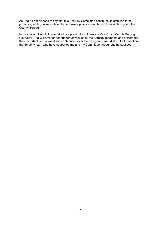As Chair, I am pleased to say that this Scrutiny Committee continues its ambition to be proactive, adding value in its ability to make a positive contribution to work throughout the County Borough.

In conclusion, I would like to take this opportunity to thank my Vice-Chair, County Borough Councillor Tina Williams for her support as well as all the Scrutiny members and officers for their important commitment and contribution over the past year. I would also like to mention the Scrutiny team who have supported me and my Committee throughout the past year.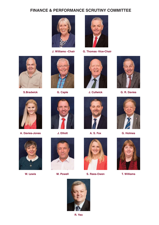# **FINANCE & PERFORMANCE SCRUTINY COMMITTEE**





**J. Williams –Chair G. Thomas -Vice-Chair**



**S.Bradwick G. Caple J. Cullwick G. R. Davies**





**A. Davies-Jones J. Elliott A. S. Fox G. Holmes**









**W. Lewis M. Powell**



**S. Rees-Owen T. Williams**







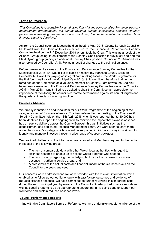## **Terms of Reference**

*'This Committee is responsible for scrutinising financial and operational performance; treasury management arrangements; the annual revenue budget consultation process; statutory performance reporting requirements and monitoring the implementation of medium term financial planning decisions.'*

As from the Council's Annual Meeting held on the 23rd May, 2018, County Borough Councillor M. Powell was the Chair of this Committee up to the Finance & Performance Scrutiny Committee held on the 11<sup>th</sup> December 2018 when I took the Chair. This was as a result of the Alliance Group losing its entitlement to the Scrutiny Chair position it previously had and the Plaid Cymru group gaining an additional Scrutiny Chair position. Councillor M. Diamond was also replaced by Councillor A. S. Fox as a result of changes to the political balance.

Before presenting key areas of the Finance and Performance Scrutiny Committee for the Municipal year 2018/19 I would like to place on record my thanks to County Borough Councillor M. Powell for playing an integral part in taking forward the Work Programme for the first four meetings of the Municipal Year 2018/19. It was fitting therefore that he has remained on the Committee as a valuable member of Scrutiny. I am new to the Chair but have been a member of the Finance & Performance Scrutiny Committee since the Council's AGM in May 2018. I was thrilled to be asked to chair this Committee as I appreciate the importance of monitoring the council's corporate performance against its annual targets and the quarterly financial monitoring function.

# **Sickness Absence**

We quickly identified an additional item for our Work Programme at the beginning of the year, in respect of Sickness Absence. The item referred to the meeting of the Overview & Scrutiny Committee held on the 18th April, 2018 when it was reported that £130,000 had been identified to support the ongoing work to minimise the impact that sickness absence has on service delivery across the County Borough through initiatives such as the establishment of a dedicated Absence Management Team. We were keen to learn more about the Council's strategy which is intent on supporting individuals to stay in work and to identify and manage illnesses through a wide range of support packages.

We provided challenge on the information we received and Members required further action in respect of the following areas:-

- The lack of comparable data with other Welsh local authorities with regard to sickness absence to enable us to assess where progress was needed:
- The lack of clarity regarding the underlying factors for the increase in sickness absence in particular service areas; and
- A breakdown of the actual costs and financial impact of the sickness levels on the Council for the years analysed.

Our concerns were addressed and we were provided with the relevant information which enabled us to follow up our earlier enquiry with satisfactory outcomes and evidence of reduced sickness absence. We have committed to further reviewing this important issue during the next municipal year by means of the Council's Quarterly Performance reports as well as specific reports to us as appropriate to ensure that all is being done to support our workforce and sustain reduced absence levels.

### **Council Performance Reports**

In line with this Committee's Terms of Reference we have undertaken regular challenge of the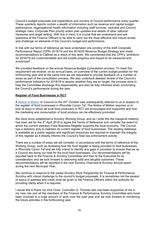Council's budget proposals and expenditure and scrutiny of Council performance every quarter. These quarterly reports contain a wealth of information such as revenue and capital budget performance, organisational health information including staff turnover, sickness and Council strategic risks, Corporate Plan priority action plan updates and details of other national measures and target setting. With this in mind, it is crucial that we understand and ask questions of the Finance Officers to be able to carry out the most effective and robust review and challenge on elements of the Council's budget and performance.

In line with our terms of reference we have undertaken pre scrutiny of the draft Corporate Performance Report (CPR) 2018/19 and the 2019/20 Revenue Budget Strategy and made recommendations to Cabinet as a result of this work. We commented that the CPR's '*ambitions for 2018/19 are understandable and will enable progress and impact to be measured and scrutinised'.*

We provided feedback on the annual Revenue Budget Consultation process. To meet this requirement we receive, on an annual basis, an overview of the current budget position for the forthcoming year and at the same time we are requested to provide feedback on a number of areas as part of the consultation process. We also undertook detailed review of the Council's performance Indicators for 2018/19 to assess whether they are on target, the process aims to help the Committee discharge this responsibility and also be fully informed when scrutinising the Council's performance during the year.

# **Register of Food Businesses in RCT**

A Notice of Motion to Council on the  $24<sup>th</sup>$  October was subsequently referred to us in respect of the register of food businesses in Rhondda Cynon Taf. The Notice of Motion requires us to look at ways in which all local food producers in RCT are encouraged and supported and how the marketing and consumption of local produce can be effectively promoted.

We have since established a Scrutiny Working Group, and as I write this the inaugural meeting has been set for the 3<sup>rd</sup> April 2019 to agree the Terms of Reference and consider the extent to which the current statutory Food Business Register supports the local economy. The Council has a statutory duty to maintain its current register of food businesses. The existing database is available as a public register and significant resources are required to maintain the integrity of this register as it directly informs the Council's food law enforcement activity

There are a number of areas we will consider, in accordance with the terms of reference of the Working Group, such as reviewing how the food register is being provided to food businesses in Rhondda Cynon Taf and we fully intend to identify any gaps in provision to ensure that we as a Council are doing our best for the local food businesses. Our recommendations will be reported back to the Finance & Scrutiny Committee and then to the Executive for its consideration and we look forward to delivering solid and tangible outcomes. These recommendations will be reported in the next Scrutiny Overview & Scrutiny Annual report during the next Municipal Year.

We continue to respond to the varied Scrutiny Work Programme for Finance & Performance Scrutiny with robust challenge to the council's budget proposals. It is sometimes not the easiest of topics to address and credit must be given to the Finance Officers within the authority for providing clarity when it is required.

I would like to thank my Vice Chair, Councillor G. Thomas who has been supportive of me in my new role and all the members of the Finance & Performance Scrutiny Committee who have been involved in a huge amount of work over the past year and we look forward to monitoring the future activities in the forthcoming year.